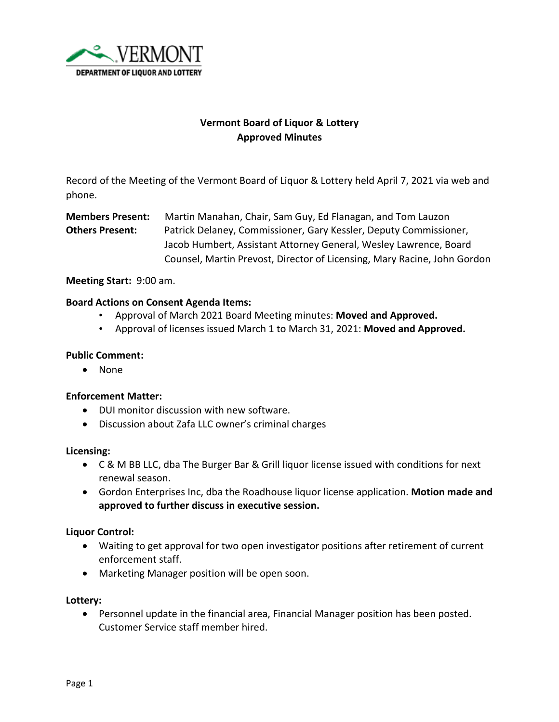

# **Vermont Board of Liquor & Lottery Approved Minutes**

Record of the Meeting of the Vermont Board of Liquor & Lottery held April 7, 2021 via web and phone.

**Members Present:** Martin Manahan, Chair, Sam Guy, Ed Flanagan, and Tom Lauzon **Others Present:** Patrick Delaney, Commissioner, Gary Kessler, Deputy Commissioner, Jacob Humbert, Assistant Attorney General, Wesley Lawrence, Board Counsel, Martin Prevost, Director of Licensing, Mary Racine, John Gordon

# **Meeting Start:** 9:00 am.

# **Board Actions on Consent Agenda Items:**

- Approval of March 2021 Board Meeting minutes: **Moved and Approved.**
- Approval of licenses issued March 1 to March 31, 2021: **Moved and Approved.**

### **Public Comment:**

• None

#### **Enforcement Matter:**

- DUI monitor discussion with new software.
- Discussion about Zafa LLC owner's criminal charges

#### **Licensing:**

- C & M BB LLC, dba The Burger Bar & Grill liquor license issued with conditions for next renewal season.
- Gordon Enterprises Inc, dba the Roadhouse liquor license application. **Motion made and approved to further discuss in executive session.**

#### **Liquor Control:**

- Waiting to get approval for two open investigator positions after retirement of current enforcement staff.
- Marketing Manager position will be open soon.

#### **Lottery:**

• Personnel update in the financial area, Financial Manager position has been posted. Customer Service staff member hired.